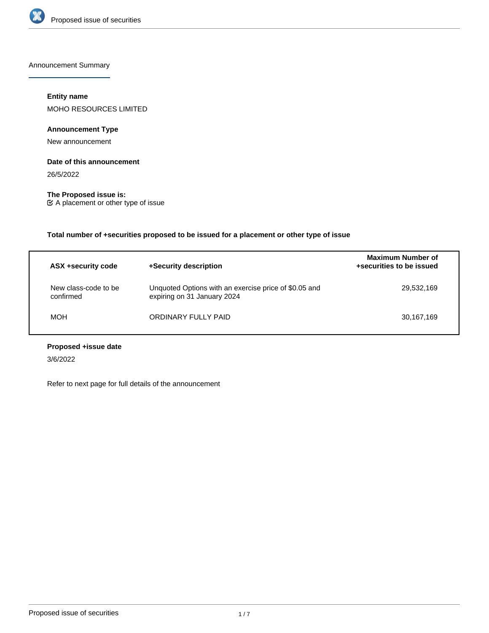

Announcement Summary

# **Entity name**

MOHO RESOURCES LIMITED

# **Announcement Type**

New announcement

# **Date of this announcement**

26/5/2022

**The Proposed issue is:** A placement or other type of issue

**Total number of +securities proposed to be issued for a placement or other type of issue**

| ASX +security code                | +Security description                                                                | <b>Maximum Number of</b><br>+securities to be issued |
|-----------------------------------|--------------------------------------------------------------------------------------|------------------------------------------------------|
| New class-code to be<br>confirmed | Unquoted Options with an exercise price of \$0.05 and<br>expiring on 31 January 2024 | 29,532,169                                           |
| <b>MOH</b>                        | ORDINARY FULLY PAID                                                                  | 30,167,169                                           |

# **Proposed +issue date**

3/6/2022

Refer to next page for full details of the announcement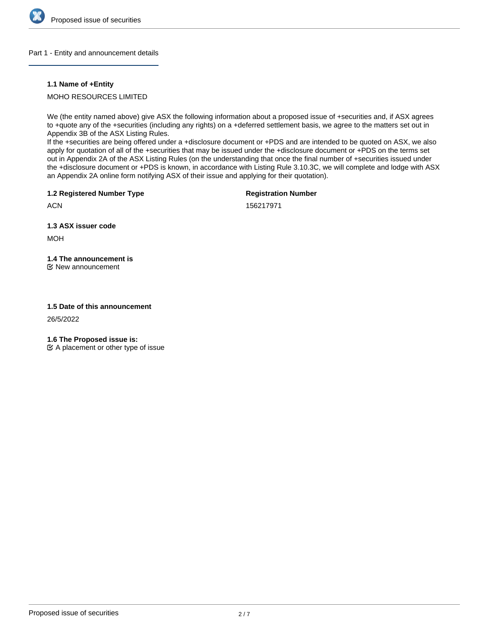

## Part 1 - Entity and announcement details

# **1.1 Name of +Entity**

MOHO RESOURCES LIMITED

We (the entity named above) give ASX the following information about a proposed issue of +securities and, if ASX agrees to +quote any of the +securities (including any rights) on a +deferred settlement basis, we agree to the matters set out in Appendix 3B of the ASX Listing Rules.

If the +securities are being offered under a +disclosure document or +PDS and are intended to be quoted on ASX, we also apply for quotation of all of the +securities that may be issued under the +disclosure document or +PDS on the terms set out in Appendix 2A of the ASX Listing Rules (on the understanding that once the final number of +securities issued under the +disclosure document or +PDS is known, in accordance with Listing Rule 3.10.3C, we will complete and lodge with ASX an Appendix 2A online form notifying ASX of their issue and applying for their quotation).

**1.2 Registered Number Type**

**Registration Number**

156217971

**1.3 ASX issuer code**

MOH

**ACN** 

**1.4 The announcement is**

New announcement

# **1.5 Date of this announcement**

26/5/2022

**1.6 The Proposed issue is:**

 $\mathfrak{C}$  A placement or other type of issue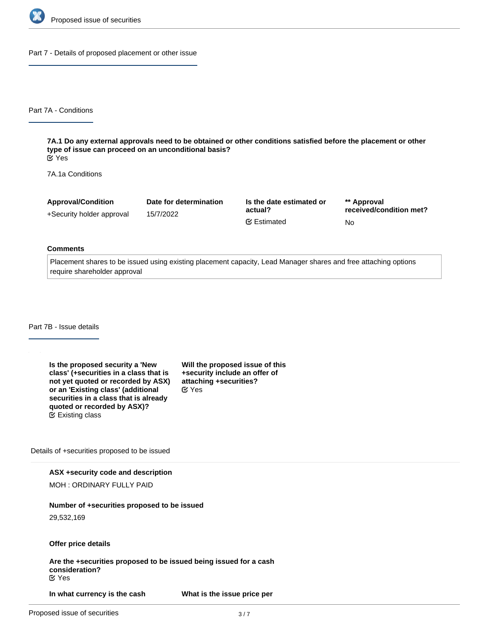

Part 7 - Details of proposed placement or other issue

Part 7A - Conditions

**7A.1 Do any external approvals need to be obtained or other conditions satisfied before the placement or other type of issue can proceed on an unconditional basis?** Yes

7A.1a Conditions

| <b>Approval/Condition</b> | Date for determination | Is the date estimated or | ** Approval             |
|---------------------------|------------------------|--------------------------|-------------------------|
| +Security holder approval | 15/7/2022              | actual?                  | received/condition met? |
|                           |                        | <b></b> Estimated        | No                      |

#### **Comments**

Placement shares to be issued using existing placement capacity, Lead Manager shares and free attaching options require shareholder approval

Part 7B - Issue details

**Is the proposed security a 'New class' (+securities in a class that is not yet quoted or recorded by ASX) or an 'Existing class' (additional securities in a class that is already quoted or recorded by ASX)?** Existing class

**Will the proposed issue of this +security include an offer of attaching +securities?** Yes

Details of +securities proposed to be issued

**ASX +security code and description**

MOH : ORDINARY FULLY PAID

## **Number of +securities proposed to be issued**

29,532,169

#### **Offer price details**

**Are the +securities proposed to be issued being issued for a cash consideration?** Yes

**In what currency is the cash consideration being paid?**

**What is the issue price per**

**+security?**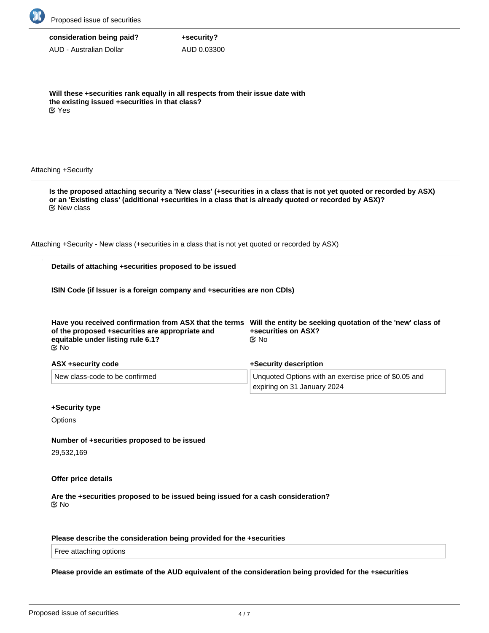

| consideration being paid? |  |  |
|---------------------------|--|--|
|---------------------------|--|--|

AUD - Australian Dollar

**Will these +securities rank equally in all respects from their issue date with the existing issued +securities in that class?** Yes

**+security?** AUD 0.03300

## Attaching +Security

**Is the proposed attaching security a 'New class' (+securities in a class that is not yet quoted or recorded by ASX) or an 'Existing class' (additional +securities in a class that is already quoted or recorded by ASX)?** New class

Attaching +Security - New class (+securities in a class that is not yet quoted or recorded by ASX)

# **Details of attaching +securities proposed to be issued**

**ISIN Code (if Issuer is a foreign company and +securities are non CDIs)**

| of the proposed +securities are appropriate and<br>equitable under listing rule 6.1?<br><b>@</b> No | Have you received confirmation from ASX that the terms Will the entity be seeking quotation of the 'new' class of<br>+securities on ASX?<br>©⁄ No |
|-----------------------------------------------------------------------------------------------------|---------------------------------------------------------------------------------------------------------------------------------------------------|
| ASX +security code                                                                                  | +Security description                                                                                                                             |
| New class-code to be confirmed                                                                      | Unquoted Options with an exercise price of \$0.05 and<br>expiring on 31 January 2024                                                              |

#### **+Security type**

**Options** 

**Number of +securities proposed to be issued**

29,532,169

#### **Offer price details**

**Are the +securities proposed to be issued being issued for a cash consideration?** No

# **Please describe the consideration being provided for the +securities**

Free attaching options

**Please provide an estimate of the AUD equivalent of the consideration being provided for the +securities**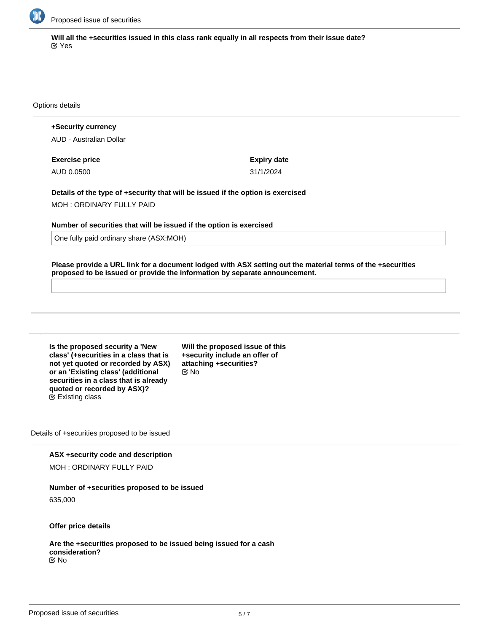

**Will all the +securities issued in this class rank equally in all respects from their issue date?** Yes

Options details

**+Security currency** AUD - Australian Dollar

**Exercise price** AUD 0.0500

**Expiry date** 31/1/2024

**Details of the type of +security that will be issued if the option is exercised** MOH : ORDINARY FULLY PAID

**Number of securities that will be issued if the option is exercised**

One fully paid ordinary share (ASX:MOH)

**Please provide a URL link for a document lodged with ASX setting out the material terms of the +securities proposed to be issued or provide the information by separate announcement.**

**Is the proposed security a 'New class' (+securities in a class that is not yet quoted or recorded by ASX) or an 'Existing class' (additional securities in a class that is already quoted or recorded by ASX)?**  $E$  Existing class

**Will the proposed issue of this +security include an offer of attaching +securities?** No

Details of +securities proposed to be issued

**ASX +security code and description**

MOH : ORDINARY FULLY PAID

## **Number of +securities proposed to be issued**

635,000

**Offer price details**

**Are the +securities proposed to be issued being issued for a cash consideration? EX No**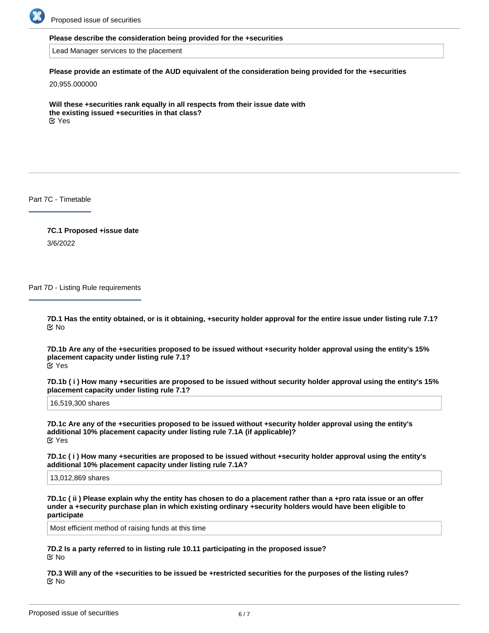

## **Please describe the consideration being provided for the +securities**

Lead Manager services to the placement

# **Please provide an estimate of the AUD equivalent of the consideration being provided for the +securities**

20,955.000000

**Will these +securities rank equally in all respects from their issue date with the existing issued +securities in that class? EX** Yes

Part 7C - Timetable

**7C.1 Proposed +issue date** 3/6/2022

Part 7D - Listing Rule requirements

**7D.1 Has the entity obtained, or is it obtaining, +security holder approval for the entire issue under listing rule 7.1?** No

**7D.1b Are any of the +securities proposed to be issued without +security holder approval using the entity's 15% placement capacity under listing rule 7.1?** Yes

**7D.1b ( i ) How many +securities are proposed to be issued without security holder approval using the entity's 15% placement capacity under listing rule 7.1?**

16,519,300 shares

**7D.1c Are any of the +securities proposed to be issued without +security holder approval using the entity's additional 10% placement capacity under listing rule 7.1A (if applicable)?** Yes

**7D.1c ( i ) How many +securities are proposed to be issued without +security holder approval using the entity's additional 10% placement capacity under listing rule 7.1A?**

13,012,869 shares

**7D.1c ( ii ) Please explain why the entity has chosen to do a placement rather than a +pro rata issue or an offer under a +security purchase plan in which existing ordinary +security holders would have been eligible to participate**

Most efficient method of raising funds at this time

**7D.2 Is a party referred to in listing rule 10.11 participating in the proposed issue?** No

**7D.4 Will any of the +securities to be issued be subject to +voluntary escrow?**

**7D.3 Will any of the +securities to be issued be +restricted securities for the purposes of the listing rules?** No